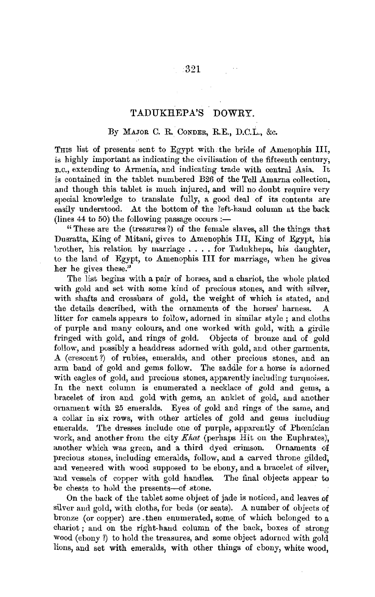## TADUKHEPA'S DOWRY.

## By MAJOR C. R. CONDER, R.E., D.C.L., &c.

Tms list of presents sent to Egypt with. the bride of Amenophis III, is highly important as indicating the civilisation of the fifteenth century; B.C., extending to Armenia, and indicating trade with central Asia. It is contained in the tablet numbered B26 of the Tell Amarna collection, and though this tablet is much injured, and will no doubt require very special knowledge to translate fully, a good deal of its contents are easily understood. At the bottom of the left-hand column at the back (lines  $44$  to  $50$ ) the following passage occurs :—

" These are the (treasures 7) of the female slaves, all the things that Dusratta, King of Mitani, gives to Amenophis III, King of Egypt, his brother, his relation by marriage .... for Tadukhepa, his daughter, to the land of Egypt, to Amenophis III for marriage, when he gives her he gives these."

The list begins with a pair of horses, and a chariot, the whole plated with gold and set with some kind of precious stones, and with silver, with shafts and crossbars of gold, the weight of which is stated, and the details described, with the ornaments of the horses' harness. A litter for camels appears to follow, adorned in similar style ; and cloths of purple and many colours, and one worked with gold, with a girdle fringed with gold, and rings of gold. follow, and possibly a headdress adorned with gold, and other garments. A (crescent?) of rubies, emeralds, and other precious stones, and an arm band of gold and gems follow. The saddle for a horse is adorned with eagles of gold, and precious stones, apparently including turquoises. In the next column is enumerated a necklace of gold and gems, a bracelet of iron and gold with gems, an anklet of gold, and another ornament with 25 emeralds. Eyes of gold and rings of the same, and a collar in six rows, with other articles of gold and gems including emeralds. The dresses include one of purple, apparently of Phœnician work, and another from the city *Khat* (perhaps Hit on the Euphrates), another which was green, and a third dyed crimson. Ornaments of precious stones, including emeralds, follow, and a carved throne gilded; and veneered with wood supposed to be ebony, and a bracelet of silver; and vessels of copper with gold handles. The final objects appear to be chests to hold the presents-of stone.

On the back of the tablet some object of jade is noticed, and leaves of silver and gold, with cloths, for beds (or seats). A number of objects of bronze (or copper) are -then enumerated, some\_ of which belonged to a chariot; and on the right-haud column of the back, boxes of strong Wood (ebony 1) to hold the treasures, and some object adorned with gold lions, and set with emeralds, with other things of ebony, white wood,